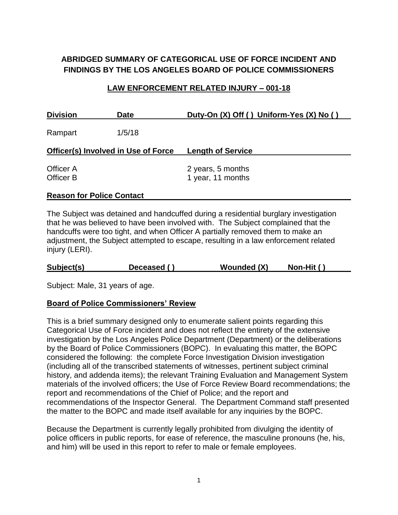# **ABRIDGED SUMMARY OF CATEGORICAL USE OF FORCE INCIDENT AND FINDINGS BY THE LOS ANGELES BOARD OF POLICE COMMISSIONERS**

#### **LAW ENFORCEMENT RELATED INJURY – 001-18**

| <b>Division</b>                            | <b>Date</b> | Duty-On (X) Off () Uniform-Yes (X) No () |
|--------------------------------------------|-------------|------------------------------------------|
| Rampart                                    | 1/5/18      |                                          |
| <b>Officer(s) Involved in Use of Force</b> |             | <b>Length of Service</b>                 |
| Officer A<br><b>Officer B</b>              |             | 2 years, 5 months<br>1 year, 11 months   |

#### **Reason for Police Contact**

The Subject was detained and handcuffed during a residential burglary investigation that he was believed to have been involved with. The Subject complained that the handcuffs were too tight, and when Officer A partially removed them to make an adjustment, the Subject attempted to escape, resulting in a law enforcement related injury (LERI).

| Subject(s) | Deceased () | <b>Wounded (X)</b> | Non-Hit $()$ |  |
|------------|-------------|--------------------|--------------|--|
|------------|-------------|--------------------|--------------|--|

Subject: Male, 31 years of age.

#### **Board of Police Commissioners' Review**

This is a brief summary designed only to enumerate salient points regarding this Categorical Use of Force incident and does not reflect the entirety of the extensive investigation by the Los Angeles Police Department (Department) or the deliberations by the Board of Police Commissioners (BOPC). In evaluating this matter, the BOPC considered the following: the complete Force Investigation Division investigation (including all of the transcribed statements of witnesses, pertinent subject criminal history, and addenda items); the relevant Training Evaluation and Management System materials of the involved officers; the Use of Force Review Board recommendations; the report and recommendations of the Chief of Police; and the report and recommendations of the Inspector General. The Department Command staff presented the matter to the BOPC and made itself available for any inquiries by the BOPC.

Because the Department is currently legally prohibited from divulging the identity of police officers in public reports, for ease of reference, the masculine pronouns (he, his, and him) will be used in this report to refer to male or female employees.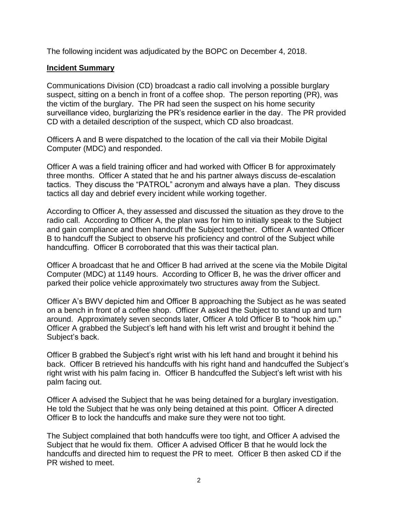The following incident was adjudicated by the BOPC on December 4, 2018.

### **Incident Summary**

Communications Division (CD) broadcast a radio call involving a possible burglary suspect, sitting on a bench in front of a coffee shop. The person reporting (PR), was the victim of the burglary. The PR had seen the suspect on his home security surveillance video, burglarizing the PR's residence earlier in the day. The PR provided CD with a detailed description of the suspect, which CD also broadcast.

Officers A and B were dispatched to the location of the call via their Mobile Digital Computer (MDC) and responded.

Officer A was a field training officer and had worked with Officer B for approximately three months. Officer A stated that he and his partner always discuss de-escalation tactics. They discuss the "PATROL" acronym and always have a plan. They discuss tactics all day and debrief every incident while working together.

According to Officer A, they assessed and discussed the situation as they drove to the radio call. According to Officer A, the plan was for him to initially speak to the Subject and gain compliance and then handcuff the Subject together. Officer A wanted Officer B to handcuff the Subject to observe his proficiency and control of the Subject while handcuffing. Officer B corroborated that this was their tactical plan.

Officer A broadcast that he and Officer B had arrived at the scene via the Mobile Digital Computer (MDC) at 1149 hours. According to Officer B, he was the driver officer and parked their police vehicle approximately two structures away from the Subject.

Officer A's BWV depicted him and Officer B approaching the Subject as he was seated on a bench in front of a coffee shop. Officer A asked the Subject to stand up and turn around. Approximately seven seconds later, Officer A told Officer B to "hook him up." Officer A grabbed the Subject's left hand with his left wrist and brought it behind the Subject's back.

Officer B grabbed the Subject's right wrist with his left hand and brought it behind his back. Officer B retrieved his handcuffs with his right hand and handcuffed the Subject's right wrist with his palm facing in. Officer B handcuffed the Subject's left wrist with his palm facing out.

Officer A advised the Subject that he was being detained for a burglary investigation. He told the Subject that he was only being detained at this point. Officer A directed Officer B to lock the handcuffs and make sure they were not too tight.

The Subject complained that both handcuffs were too tight, and Officer A advised the Subject that he would fix them. Officer A advised Officer B that he would lock the handcuffs and directed him to request the PR to meet. Officer B then asked CD if the PR wished to meet.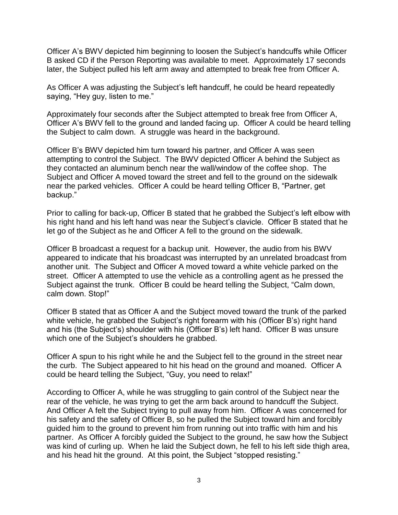Officer A's BWV depicted him beginning to loosen the Subject's handcuffs while Officer B asked CD if the Person Reporting was available to meet. Approximately 17 seconds later, the Subject pulled his left arm away and attempted to break free from Officer A.

As Officer A was adjusting the Subject's left handcuff, he could be heard repeatedly saying, "Hey guy, listen to me."

Approximately four seconds after the Subject attempted to break free from Officer A, Officer A's BWV fell to the ground and landed facing up. Officer A could be heard telling the Subject to calm down. A struggle was heard in the background.

Officer B's BWV depicted him turn toward his partner, and Officer A was seen attempting to control the Subject. The BWV depicted Officer A behind the Subject as they contacted an aluminum bench near the wall/window of the coffee shop. The Subject and Officer A moved toward the street and fell to the ground on the sidewalk near the parked vehicles. Officer A could be heard telling Officer B, "Partner, get backup."

Prior to calling for back-up, Officer B stated that he grabbed the Subject's left elbow with his right hand and his left hand was near the Subject's clavicle. Officer B stated that he let go of the Subject as he and Officer A fell to the ground on the sidewalk.

Officer B broadcast a request for a backup unit. However, the audio from his BWV appeared to indicate that his broadcast was interrupted by an unrelated broadcast from another unit. The Subject and Officer A moved toward a white vehicle parked on the street. Officer A attempted to use the vehicle as a controlling agent as he pressed the Subject against the trunk. Officer B could be heard telling the Subject, "Calm down, calm down. Stop!"

Officer B stated that as Officer A and the Subject moved toward the trunk of the parked white vehicle, he grabbed the Subject's right forearm with his (Officer B's) right hand and his (the Subject's) shoulder with his (Officer B's) left hand. Officer B was unsure which one of the Subject's shoulders he grabbed.

Officer A spun to his right while he and the Subject fell to the ground in the street near the curb. The Subject appeared to hit his head on the ground and moaned. Officer A could be heard telling the Subject, "Guy, you need to relax!"

According to Officer A, while he was struggling to gain control of the Subject near the rear of the vehicle, he was trying to get the arm back around to handcuff the Subject. And Officer A felt the Subject trying to pull away from him. Officer A was concerned for his safety and the safety of Officer B, so he pulled the Subject toward him and forcibly guided him to the ground to prevent him from running out into traffic with him and his partner. As Officer A forcibly guided the Subject to the ground, he saw how the Subject was kind of curling up. When he laid the Subject down, he fell to his left side thigh area, and his head hit the ground. At this point, the Subject "stopped resisting."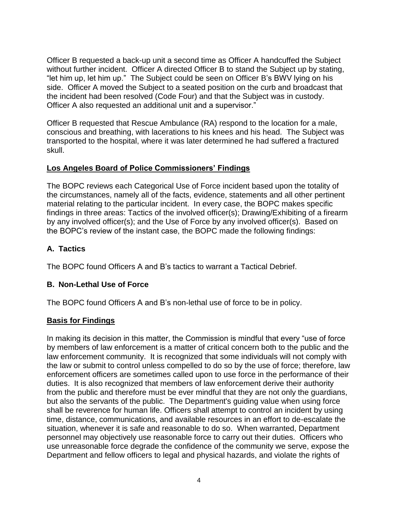Officer B requested a back-up unit a second time as Officer A handcuffed the Subject without further incident. Officer A directed Officer B to stand the Subject up by stating, "let him up, let him up." The Subject could be seen on Officer B's BWV lying on his side. Officer A moved the Subject to a seated position on the curb and broadcast that the incident had been resolved (Code Four) and that the Subject was in custody. Officer A also requested an additional unit and a supervisor."

Officer B requested that Rescue Ambulance (RA) respond to the location for a male, conscious and breathing, with lacerations to his knees and his head. The Subject was transported to the hospital, where it was later determined he had suffered a fractured skull.

### **Los Angeles Board of Police Commissioners' Findings**

The BOPC reviews each Categorical Use of Force incident based upon the totality of the circumstances, namely all of the facts, evidence, statements and all other pertinent material relating to the particular incident. In every case, the BOPC makes specific findings in three areas: Tactics of the involved officer(s); Drawing/Exhibiting of a firearm by any involved officer(s); and the Use of Force by any involved officer(s). Based on the BOPC's review of the instant case, the BOPC made the following findings:

## **A. Tactics**

The BOPC found Officers A and B's tactics to warrant a Tactical Debrief.

# **B. Non-Lethal Use of Force**

The BOPC found Officers A and B's non-lethal use of force to be in policy.

### **Basis for Findings**

In making its decision in this matter, the Commission is mindful that every "use of force by members of law enforcement is a matter of critical concern both to the public and the law enforcement community. It is recognized that some individuals will not comply with the law or submit to control unless compelled to do so by the use of force; therefore, law enforcement officers are sometimes called upon to use force in the performance of their duties. It is also recognized that members of law enforcement derive their authority from the public and therefore must be ever mindful that they are not only the guardians, but also the servants of the public. The Department's guiding value when using force shall be reverence for human life. Officers shall attempt to control an incident by using time, distance, communications, and available resources in an effort to de-escalate the situation, whenever it is safe and reasonable to do so. When warranted, Department personnel may objectively use reasonable force to carry out their duties. Officers who use unreasonable force degrade the confidence of the community we serve, expose the Department and fellow officers to legal and physical hazards, and violate the rights of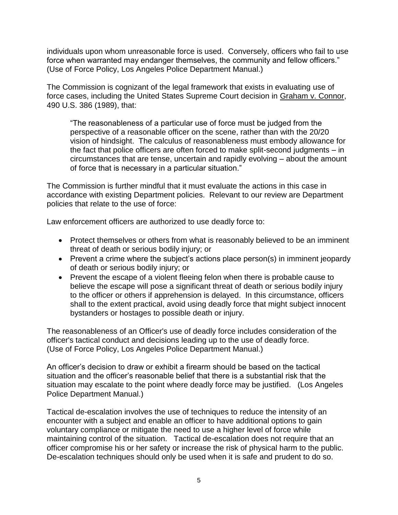individuals upon whom unreasonable force is used. Conversely, officers who fail to use force when warranted may endanger themselves, the community and fellow officers." (Use of Force Policy, Los Angeles Police Department Manual.)

The Commission is cognizant of the legal framework that exists in evaluating use of force cases, including the United States Supreme Court decision in Graham v. Connor, 490 U.S. 386 (1989), that:

"The reasonableness of a particular use of force must be judged from the perspective of a reasonable officer on the scene, rather than with the 20/20 vision of hindsight. The calculus of reasonableness must embody allowance for the fact that police officers are often forced to make split-second judgments – in circumstances that are tense, uncertain and rapidly evolving – about the amount of force that is necessary in a particular situation."

The Commission is further mindful that it must evaluate the actions in this case in accordance with existing Department policies. Relevant to our review are Department policies that relate to the use of force:

Law enforcement officers are authorized to use deadly force to:

- Protect themselves or others from what is reasonably believed to be an imminent threat of death or serious bodily injury; or
- Prevent a crime where the subject's actions place person(s) in imminent jeopardy of death or serious bodily injury; or
- Prevent the escape of a violent fleeing felon when there is probable cause to believe the escape will pose a significant threat of death or serious bodily injury to the officer or others if apprehension is delayed. In this circumstance, officers shall to the extent practical, avoid using deadly force that might subject innocent bystanders or hostages to possible death or injury.

The reasonableness of an Officer's use of deadly force includes consideration of the officer's tactical conduct and decisions leading up to the use of deadly force. (Use of Force Policy, Los Angeles Police Department Manual.)

An officer's decision to draw or exhibit a firearm should be based on the tactical situation and the officer's reasonable belief that there is a substantial risk that the situation may escalate to the point where deadly force may be justified. (Los Angeles Police Department Manual.)

Tactical de-escalation involves the use of techniques to reduce the intensity of an encounter with a subject and enable an officer to have additional options to gain voluntary compliance or mitigate the need to use a higher level of force while maintaining control of the situation. Tactical de-escalation does not require that an officer compromise his or her safety or increase the risk of physical harm to the public. De-escalation techniques should only be used when it is safe and prudent to do so.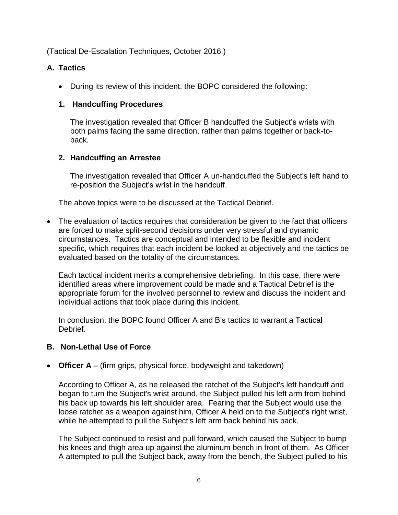(Tactical De-Escalation Techniques, October 2016.)

## **A. Tactics**

• During its review of this incident, the BOPC considered the following:

### **1. Handcuffing Procedures**

The investigation revealed that Officer B handcuffed the Subject's wrists with both palms facing the same direction, rather than palms together or back-toback.

## **2. Handcuffing an Arrestee**

The investigation revealed that Officer A un-handcuffed the Subject's left hand to re-position the Subject's wrist in the handcuff.

The above topics were to be discussed at the Tactical Debrief.

• The evaluation of tactics requires that consideration be given to the fact that officers are forced to make split-second decisions under very stressful and dynamic circumstances. Tactics are conceptual and intended to be flexible and incident specific, which requires that each incident be looked at objectively and the tactics be evaluated based on the totality of the circumstances.

Each tactical incident merits a comprehensive debriefing. In this case, there were identified areas where improvement could be made and a Tactical Debrief is the appropriate forum for the involved personnel to review and discuss the incident and individual actions that took place during this incident.

In conclusion, the BOPC found Officer A and B's tactics to warrant a Tactical Debrief.

# **B. Non-Lethal Use of Force**

• **Officer A –** (firm grips, physical force, bodyweight and takedown)

According to Officer A, as he released the ratchet of the Subject's left handcuff and began to turn the Subject's wrist around, the Subject pulled his left arm from behind his back up towards his left shoulder area. Fearing that the Subject would use the loose ratchet as a weapon against him, Officer A held on to the Subject's right wrist, while he attempted to pull the Subject's left arm back behind his back.

The Subject continued to resist and pull forward, which caused the Subject to bump his knees and thigh area up against the aluminum bench in front of them. As Officer A attempted to pull the Subject back, away from the bench, the Subject pulled to his